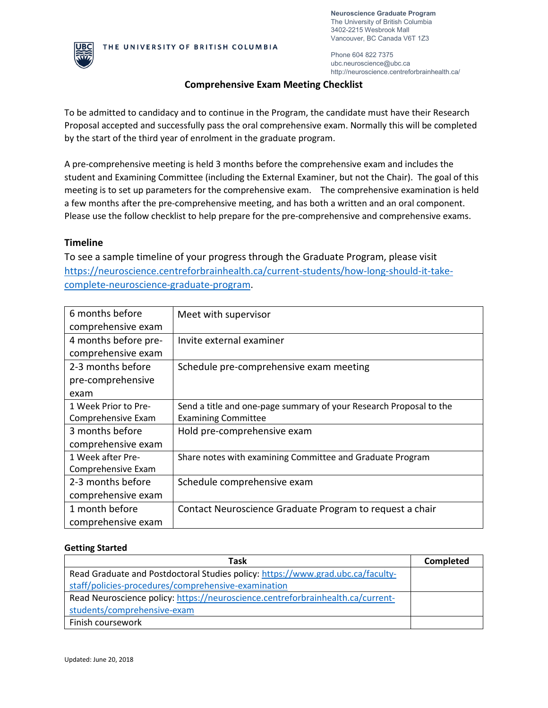

Phone 604 822 7375 ubc.neuroscience@ubc.ca http://neuroscience.centreforbrainhealth.ca/

# **Comprehensive Exam Meeting Checklist**

To be admitted to candidacy and to continue in the Program, the candidate must have their Research Proposal accepted and successfully pass the oral comprehensive exam. Normally this will be completed by the start of the third year of enrolment in the graduate program.

A pre-comprehensive meeting is held 3 months before the comprehensive exam and includes the student and Examining Committee (including the External Examiner, but not the Chair). The goal of this meeting is to set up parameters for the comprehensive exam. The comprehensive examination is held a few months after the pre-comprehensive meeting, and has both a written and an oral component. Please use the follow checklist to help prepare for the pre-comprehensive and comprehensive exams.

# **Timeline**

To see a sample timeline of your progress through the Graduate Program, please visit [https://neuroscience.centreforbrainhealth.ca/current-students/how-long-should-it-take](https://neuroscience.centreforbrainhealth.ca/current-students/how-long-should-it-take-complete-neuroscience-graduate-program)[complete-neuroscience-graduate-program.](https://neuroscience.centreforbrainhealth.ca/current-students/how-long-should-it-take-complete-neuroscience-graduate-program)

| 6 months before      | Meet with supervisor                                               |
|----------------------|--------------------------------------------------------------------|
| comprehensive exam   |                                                                    |
| 4 months before pre- | Invite external examiner                                           |
| comprehensive exam   |                                                                    |
| 2-3 months before    | Schedule pre-comprehensive exam meeting                            |
| pre-comprehensive    |                                                                    |
| exam                 |                                                                    |
| 1 Week Prior to Pre- | Send a title and one-page summary of your Research Proposal to the |
| Comprehensive Exam   | <b>Examining Committee</b>                                         |
| 3 months before      | Hold pre-comprehensive exam                                        |
| comprehensive exam   |                                                                    |
| 1 Week after Pre-    | Share notes with examining Committee and Graduate Program          |
| Comprehensive Exam   |                                                                    |
| 2-3 months before    | Schedule comprehensive exam                                        |
| comprehensive exam   |                                                                    |
| 1 month before       | Contact Neuroscience Graduate Program to request a chair           |
| comprehensive exam   |                                                                    |

# **Getting Started**

| Task                                                                            | Completed |
|---------------------------------------------------------------------------------|-----------|
| Read Graduate and Postdoctoral Studies policy: https://www.grad.ubc.ca/faculty- |           |
| staff/policies-procedures/comprehensive-examination                             |           |
| Read Neuroscience policy: https://neuroscience.centreforbrainhealth.ca/current- |           |
| students/comprehensive-exam                                                     |           |
| Finish coursework                                                               |           |